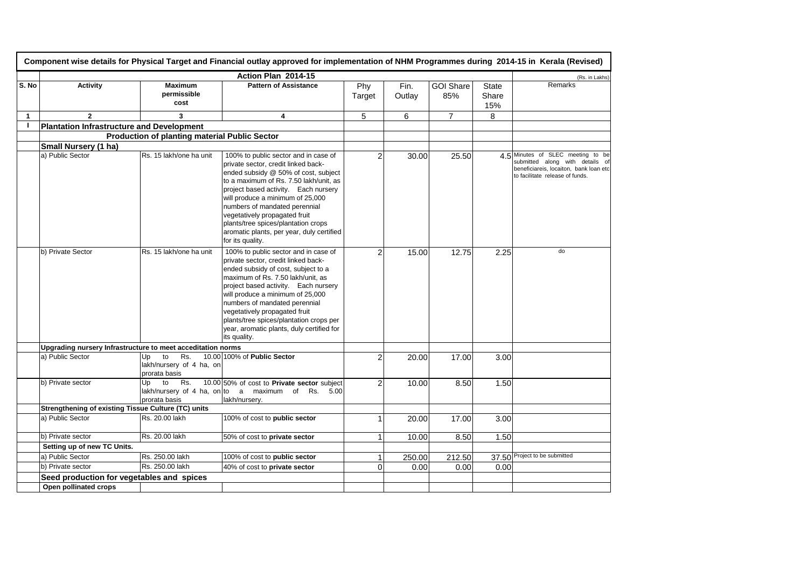|              |                                                             |                                                              | Action Plan 2014-15                                                                                                                                                                                                                                                                                                                                                                                                 |                |                |                         |                              | (Rs. in Lakhs)                                                                                                                                    |
|--------------|-------------------------------------------------------------|--------------------------------------------------------------|---------------------------------------------------------------------------------------------------------------------------------------------------------------------------------------------------------------------------------------------------------------------------------------------------------------------------------------------------------------------------------------------------------------------|----------------|----------------|-------------------------|------------------------------|---------------------------------------------------------------------------------------------------------------------------------------------------|
| S. No        | <b>Activity</b>                                             | <b>Maximum</b><br>permissible<br>cost                        | <b>Pattern of Assistance</b>                                                                                                                                                                                                                                                                                                                                                                                        | Phy<br>Target  | Fin.<br>Outlay | <b>GOI Share</b><br>85% | <b>State</b><br>Share<br>15% | Remarks                                                                                                                                           |
| $\mathbf{1}$ | $\overline{2}$                                              | 3                                                            | 4                                                                                                                                                                                                                                                                                                                                                                                                                   | 5              | 6              | $\overline{7}$          | 8                            |                                                                                                                                                   |
| J.           | <b>Plantation Infrastructure and Development</b>            |                                                              |                                                                                                                                                                                                                                                                                                                                                                                                                     |                |                |                         |                              |                                                                                                                                                   |
|              |                                                             | <b>Production of planting material Public Sector</b>         |                                                                                                                                                                                                                                                                                                                                                                                                                     |                |                |                         |                              |                                                                                                                                                   |
|              | Small Nursery (1 ha)                                        |                                                              |                                                                                                                                                                                                                                                                                                                                                                                                                     |                |                |                         |                              |                                                                                                                                                   |
|              | a) Public Sector                                            | Rs. 15 lakh/one ha unit                                      | 100% to public sector and in case of<br>private sector, credit linked back-<br>ended subsidy @ 50% of cost, subject<br>to a maximum of Rs. 7.50 lakh/unit, as<br>project based activity. Each nursery<br>will produce a minimum of 25,000<br>numbers of mandated perennial<br>vegetatively propagated fruit<br>plants/tree spices/plantation crops<br>aromatic plants, per year, duly certified<br>for its quality. | $\overline{2}$ | 30.00          | 25.50                   |                              | 4.5 Minutes of SLEC meeting to be<br>submitted along with details of<br>beneficiareis, locaiton, bank loan etc<br>to facilitate release of funds. |
|              | b) Private Sector                                           | Rs. 15 lakh/one ha unit                                      | 100% to public sector and in case of<br>private sector, credit linked back-<br>ended subsidy of cost, subject to a<br>maximum of Rs. 7.50 lakh/unit, as<br>project based activity. Each nursery<br>will produce a minimum of 25,000<br>numbers of mandated perennial<br>vegetatively propagated fruit<br>plants/tree spices/plantation crops per<br>year, aromatic plants, duly certified for<br>its quality.       | $\overline{2}$ | 15.00          | 12.75                   | 2.25                         | do                                                                                                                                                |
|              | Upgrading nursery Infrastructure to meet acceditation norms |                                                              |                                                                                                                                                                                                                                                                                                                                                                                                                     |                |                |                         |                              |                                                                                                                                                   |
|              | a) Public Sector                                            | to<br>Rs.<br>Up<br>lakh/nursery of 4 ha, on<br>prorata basis | 10.00 100% of Public Sector                                                                                                                                                                                                                                                                                                                                                                                         | $\overline{2}$ | 20.00          | 17.00                   | 3.00                         |                                                                                                                                                   |
|              | b) Private sector                                           | to<br>Rs.<br>Up<br>prorata basis                             | 10.00 50% of cost to Private sector subject<br>lakh/nursery of 4 ha, on to a maximum of Rs. $5.00$<br>lakh/nursery.                                                                                                                                                                                                                                                                                                 | $\overline{2}$ | 10.00          | 8.50                    | 1.50                         |                                                                                                                                                   |
|              | <b>Strengthening of existing Tissue Culture (TC) units</b>  |                                                              |                                                                                                                                                                                                                                                                                                                                                                                                                     |                |                |                         |                              |                                                                                                                                                   |
|              | a) Public Sector                                            | Rs. 20.00 lakh                                               | 100% of cost to public sector                                                                                                                                                                                                                                                                                                                                                                                       | 1              | 20.00          | 17.00                   | 3.00                         |                                                                                                                                                   |
|              | b) Private sector                                           | Rs. 20.00 lakh                                               | 50% of cost to private sector                                                                                                                                                                                                                                                                                                                                                                                       |                | 10.00          | 8.50                    | 1.50                         |                                                                                                                                                   |
|              | Setting up of new TC Units.                                 |                                                              |                                                                                                                                                                                                                                                                                                                                                                                                                     |                |                |                         |                              |                                                                                                                                                   |
|              | a) Public Sector                                            | Rs. 250.00 lakh                                              | 100% of cost to public sector                                                                                                                                                                                                                                                                                                                                                                                       | -1             | 250.00         | 212.50                  |                              | 37.50 Project to be submitted                                                                                                                     |
|              | b) Private sector                                           | Rs. 250.00 lakh                                              | 40% of cost to private sector                                                                                                                                                                                                                                                                                                                                                                                       | $\Omega$       | 0.00           | 0.00                    | 0.00                         |                                                                                                                                                   |
|              | Seed production for vegetables and spices                   |                                                              |                                                                                                                                                                                                                                                                                                                                                                                                                     |                |                |                         |                              |                                                                                                                                                   |
|              | Open pollinated crops                                       |                                                              |                                                                                                                                                                                                                                                                                                                                                                                                                     |                |                |                         |                              |                                                                                                                                                   |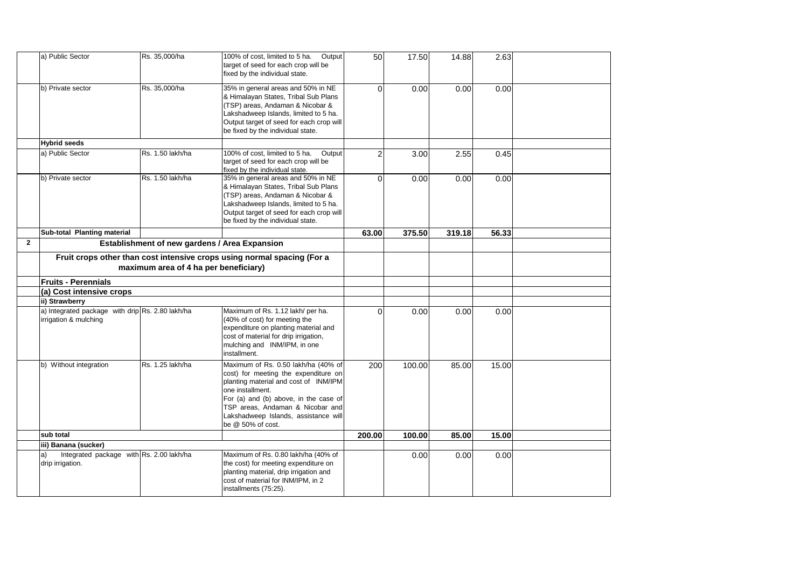|                | a) Public Sector                                                          | Rs. 35,000/ha                                 | 100% of cost, limited to 5 ha.<br>Output<br>target of seed for each crop will be<br>fixed by the individual state.                                                                                                                                                                 | 50       | 17.50  | 14.88  | 2.63  |  |
|----------------|---------------------------------------------------------------------------|-----------------------------------------------|------------------------------------------------------------------------------------------------------------------------------------------------------------------------------------------------------------------------------------------------------------------------------------|----------|--------|--------|-------|--|
|                | b) Private sector                                                         | Rs. 35,000/ha                                 | 35% in general areas and 50% in NE<br>& Himalayan States, Tribal Sub Plans<br>(TSP) areas, Andaman & Nicobar &<br>Lakshadweep Islands, limited to 5 ha.<br>Output target of seed for each crop will<br>be fixed by the individual state.                                           | 0        | 0.00   | 0.00   | 0.00  |  |
|                | <b>Hybrid seeds</b>                                                       |                                               |                                                                                                                                                                                                                                                                                    |          |        |        |       |  |
|                | a) Public Sector                                                          | Rs. 1.50 lakh/ha                              | 100% of cost, limited to 5 ha.<br>Output<br>target of seed for each crop will be<br>fixed by the individual state.                                                                                                                                                                 | 2        | 3.00   | 2.55   | 0.45  |  |
|                | b) Private sector                                                         | Rs. 1.50 lakh/ha                              | 35% in general areas and 50% in NE<br>& Himalayan States, Tribal Sub Plans<br>(TSP) areas, Andaman & Nicobar &<br>Lakshadweep Islands, limited to 5 ha.<br>Output target of seed for each crop will<br>be fixed by the individual state.                                           | $\Omega$ | 0.00   | 0.00   | 0.00  |  |
|                | Sub-total Planting material                                               |                                               |                                                                                                                                                                                                                                                                                    | 63.00    | 375.50 | 319.18 | 56.33 |  |
| $\overline{2}$ |                                                                           | Establishment of new gardens / Area Expansion |                                                                                                                                                                                                                                                                                    |          |        |        |       |  |
|                |                                                                           | maximum area of 4 ha per beneficiary)         | Fruit crops other than cost intensive crops using normal spacing (For a                                                                                                                                                                                                            |          |        |        |       |  |
|                | <b>Fruits - Perennials</b>                                                |                                               |                                                                                                                                                                                                                                                                                    |          |        |        |       |  |
|                | (a) Cost intensive crops                                                  |                                               |                                                                                                                                                                                                                                                                                    |          |        |        |       |  |
|                | ii) Strawberry                                                            |                                               |                                                                                                                                                                                                                                                                                    |          |        |        |       |  |
|                | a) Integrated package with drip Rs. 2.80 lakh/ha<br>irrigation & mulching |                                               | Maximum of Rs. 1.12 lakh/ per ha.<br>(40% of cost) for meeting the<br>expenditure on planting material and<br>cost of material for drip irrigation,<br>mulching and INM/IPM, in one<br>installment.                                                                                | $\Omega$ | 0.00   | 0.00   | 0.00  |  |
|                | b) Without integration                                                    | Rs. 1.25 lakh/ha                              | Maximum of Rs. 0.50 lakh/ha (40% of<br>cost) for meeting the expenditure on<br>planting material and cost of INM/IPM<br>one installment.<br>For (a) and (b) above, in the case of<br>TSP areas, Andaman & Nicobar and<br>Lakshadweep Islands, assistance will<br>be @ 50% of cost. | 200      | 100.00 | 85.00  | 15.00 |  |
|                | sub total                                                                 |                                               |                                                                                                                                                                                                                                                                                    | 200.00   | 100.00 | 85.00  | 15.00 |  |
|                | iii) Banana (sucker)                                                      |                                               |                                                                                                                                                                                                                                                                                    |          |        |        |       |  |
|                | Integrated package with Rs. 2.00 lakh/ha<br>a)<br>drip irrigation.        |                                               | Maximum of Rs. 0.80 lakh/ha (40% of<br>the cost) for meeting expenditure on<br>planting material, drip irrigation and<br>cost of material for INM/IPM, in 2<br>installments (75:25).                                                                                               |          | 0.00   | 0.00   | 0.00  |  |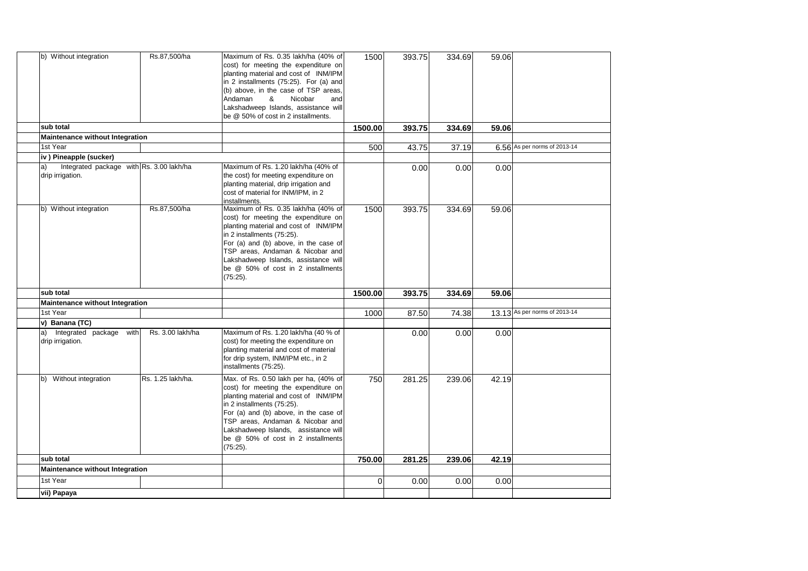| sub total              | b) Without integration<br>Maintenance without Integration | Rs.87,500/ha      | Maximum of Rs. 0.35 lakh/ha (40% of<br>cost) for meeting the expenditure on<br>planting material and cost of INM/IPM<br>in 2 installments (75:25). For (a) and<br>(b) above, in the case of TSP areas,<br>Andaman<br>&<br>Nicobar<br>and<br>Lakshadweep Islands, assistance will<br>be @ 50% of cost in 2 installments.        | 1500<br>1500.00 | 393.75<br>393.75 | 334.69<br>334.69 | 59.06<br>59.06 |                               |
|------------------------|-----------------------------------------------------------|-------------------|--------------------------------------------------------------------------------------------------------------------------------------------------------------------------------------------------------------------------------------------------------------------------------------------------------------------------------|-----------------|------------------|------------------|----------------|-------------------------------|
| 1st Year               |                                                           |                   |                                                                                                                                                                                                                                                                                                                                | 500             | 43.75            | 37.19            |                | 6.56 As per norms of 2013-14  |
|                        | iv) Pineapple (sucker)                                    |                   |                                                                                                                                                                                                                                                                                                                                |                 |                  |                  |                |                               |
| a)<br>drip irrigation. | Integrated package with Rs. 3.00 lakh/ha                  |                   | Maximum of Rs. 1.20 lakh/ha (40% of<br>the cost) for meeting expenditure on<br>planting material, drip irrigation and<br>cost of material for INM/IPM, in 2<br>installments.                                                                                                                                                   |                 | 0.00             | 0.00             | 0.00           |                               |
|                        | b) Without integration                                    | Rs.87,500/ha      | Maximum of Rs. 0.35 lakh/ha (40% of<br>cost) for meeting the expenditure on<br>planting material and cost of INM/IPM<br>in 2 installments (75:25).<br>For (a) and (b) above, in the case of<br>TSP areas, Andaman & Nicobar and<br>Lakshadweep Islands, assistance will<br>be @ 50% of cost in 2 installments<br>$(75:25)$ .   | 1500            | 393.75           | 334.69           | 59.06          |                               |
| sub total              |                                                           |                   |                                                                                                                                                                                                                                                                                                                                | 1500.00         | 393.75           | 334.69           | 59.06          |                               |
|                        | Maintenance without Integration                           |                   |                                                                                                                                                                                                                                                                                                                                |                 |                  |                  |                |                               |
| 1st Year               |                                                           |                   |                                                                                                                                                                                                                                                                                                                                | 1000            | 87.50            | 74.38            |                | 13.13 As per norms of 2013-14 |
| v) Banana (TC)         |                                                           |                   |                                                                                                                                                                                                                                                                                                                                |                 |                  |                  |                |                               |
| a)<br>drip irrigation. | Integrated package with                                   | Rs. 3.00 lakh/ha  | Maximum of Rs. 1.20 lakh/ha (40 % of<br>cost) for meeting the expenditure on<br>planting material and cost of material<br>for drip system, INM/IPM etc., in 2<br>installments (75:25).                                                                                                                                         |                 | 0.00             | 0.00             | 0.00           |                               |
| b)                     | Without integration                                       | Rs. 1.25 lakh/ha. | Max. of Rs. 0.50 lakh per ha, (40% of<br>cost) for meeting the expenditure on<br>planting material and cost of INM/IPM<br>in 2 installments (75:25).<br>For (a) and (b) above, in the case of<br>TSP areas, Andaman & Nicobar and<br>Lakshadweep Islands, assistance will<br>be @ 50% of cost in 2 installments<br>$(75.25)$ . | 750             | 281.25           | 239.06           | 42.19          |                               |
| sub total              |                                                           |                   |                                                                                                                                                                                                                                                                                                                                | 750.00          | 281.25           | 239.06           | 42.19          |                               |
|                        | Maintenance without Integration                           |                   |                                                                                                                                                                                                                                                                                                                                |                 |                  |                  |                |                               |
| 1st Year               |                                                           |                   |                                                                                                                                                                                                                                                                                                                                | 0               | 0.00             | 0.00             | 0.00           |                               |
| vii) Papaya            |                                                           |                   |                                                                                                                                                                                                                                                                                                                                |                 |                  |                  |                |                               |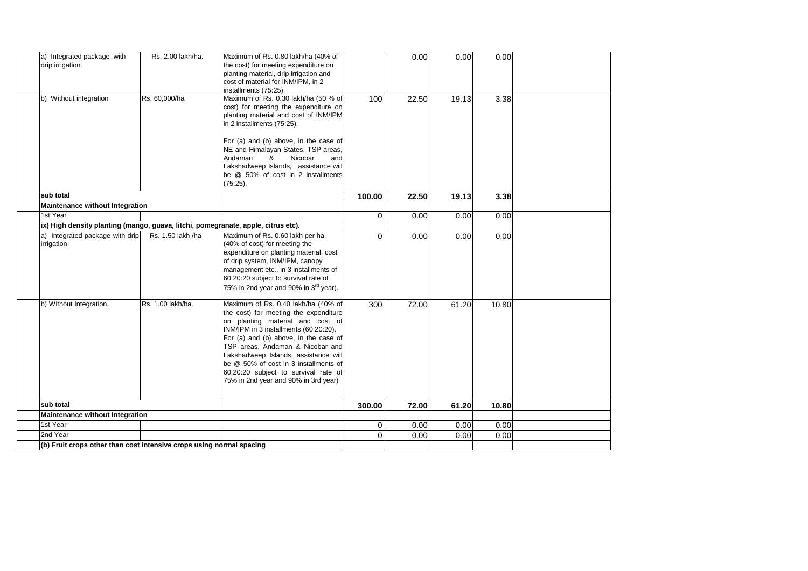| a) Integrated package with<br>drip irrigation.<br>b) Without integration          | Rs. 2.00 lakh/ha.<br>Rs. 60,000/ha | Maximum of Rs. 0.80 lakh/ha (40% of<br>the cost) for meeting expenditure on<br>planting material, drip irrigation and<br>cost of material for INM/IPM, in 2<br>installments (75:25).<br>Maximum of Rs. 0.30 lakh/ha (50 % of<br>cost) for meeting the expenditure on<br>planting material and cost of INM/IPM<br>in 2 installments (75:25).<br>For (a) and (b) above, in the case of<br>NE and Himalayan States, TSP areas,<br>Nicobar<br>Andaman<br>&<br>and | 100      | 0.00<br>22.50 | 0.00<br>19.13 | 0.00<br>3.38 |  |
|-----------------------------------------------------------------------------------|------------------------------------|---------------------------------------------------------------------------------------------------------------------------------------------------------------------------------------------------------------------------------------------------------------------------------------------------------------------------------------------------------------------------------------------------------------------------------------------------------------|----------|---------------|---------------|--------------|--|
|                                                                                   |                                    | Lakshadweep Islands, assistance will<br>be @ 50% of cost in 2 installments<br>$(75:25)$ .                                                                                                                                                                                                                                                                                                                                                                     |          |               |               |              |  |
| sub total                                                                         |                                    |                                                                                                                                                                                                                                                                                                                                                                                                                                                               | 100.00   | 22.50         | 19.13         | 3.38         |  |
| <b>Maintenance without Integration</b>                                            |                                    |                                                                                                                                                                                                                                                                                                                                                                                                                                                               |          |               |               |              |  |
| 1st Year                                                                          |                                    |                                                                                                                                                                                                                                                                                                                                                                                                                                                               | $\Omega$ | 0.00          | 0.00          | 0.00         |  |
| ix) High density planting (mango, guava, litchi, pomegranate, apple, citrus etc). |                                    |                                                                                                                                                                                                                                                                                                                                                                                                                                                               |          |               |               |              |  |
| a) Integrated package with drip<br>irrigation                                     | Rs. 1.50 lakh /ha                  | Maximum of Rs. 0.60 lakh per ha.<br>(40% of cost) for meeting the<br>expenditure on planting material, cost<br>of drip system, INM/IPM, canopy<br>management etc., in 3 installments of<br>60:20:20 subject to survival rate of<br>75% in 2nd year and 90% in 3 <sup>rd</sup> year).                                                                                                                                                                          | $\Omega$ | 0.00          | 0.00          | 0.00         |  |
| b) Without Integration.                                                           | Rs. 1.00 lakh/ha.                  | Maximum of Rs. 0.40 lakh/ha (40% of<br>the cost) for meeting the expenditure<br>on planting material and cost of<br>INM/IPM in 3 installments (60:20:20).<br>For (a) and (b) above, in the case of<br>TSP areas, Andaman & Nicobar and<br>Lakshadweep Islands, assistance will<br>be @ 50% of cost in 3 installments of<br>60:20:20 subject to survival rate of<br>75% in 2nd year and 90% in 3rd year)                                                       | 300      | 72.00         | 61.20         | 10.80        |  |
| sub total                                                                         |                                    |                                                                                                                                                                                                                                                                                                                                                                                                                                                               | 300.00   | 72.00         | 61.20         | 10.80        |  |
| Maintenance without Integration                                                   |                                    |                                                                                                                                                                                                                                                                                                                                                                                                                                                               |          |               |               |              |  |
| 1st Year                                                                          |                                    |                                                                                                                                                                                                                                                                                                                                                                                                                                                               | 0        | 0.00          | 0.00          | 0.00         |  |
| 2nd Year                                                                          |                                    |                                                                                                                                                                                                                                                                                                                                                                                                                                                               | $\Omega$ | 0.00          | 0.00          | 0.00         |  |
| (b) Fruit crops other than cost intensive crops using normal spacing              |                                    |                                                                                                                                                                                                                                                                                                                                                                                                                                                               |          |               |               |              |  |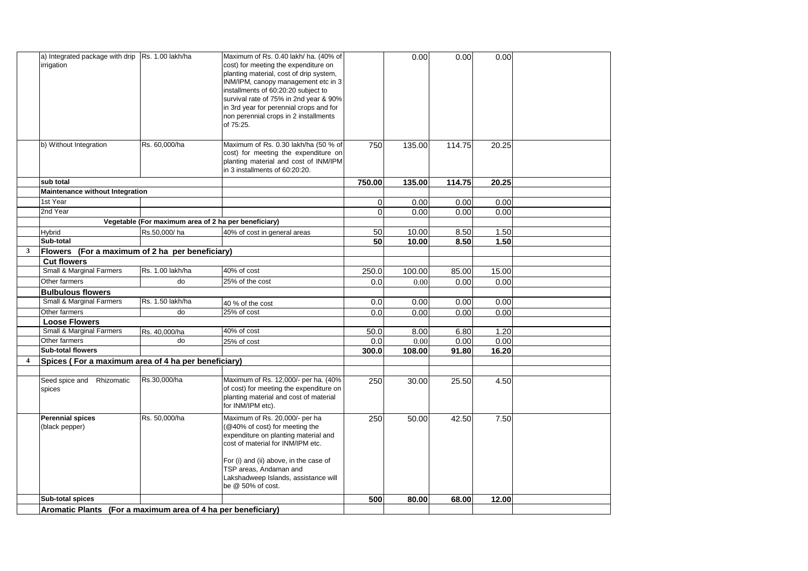|   | a) Integrated package with drip Rs. 1.00 lakh/ha             |                                                      | Maximum of Rs. 0.40 lakh/ ha. (40% of   |                | 0.00   | 0.00   | 0.00  |  |
|---|--------------------------------------------------------------|------------------------------------------------------|-----------------------------------------|----------------|--------|--------|-------|--|
|   | irrigation                                                   |                                                      | cost) for meeting the expenditure on    |                |        |        |       |  |
|   |                                                              |                                                      | planting material, cost of drip system, |                |        |        |       |  |
|   |                                                              |                                                      | INM/IPM, canopy management etc in 3     |                |        |        |       |  |
|   |                                                              |                                                      | installments of 60:20:20 subject to     |                |        |        |       |  |
|   |                                                              |                                                      | survival rate of 75% in 2nd year & 90%  |                |        |        |       |  |
|   |                                                              |                                                      | in 3rd year for perennial crops and for |                |        |        |       |  |
|   |                                                              |                                                      | non perennial crops in 2 installments   |                |        |        |       |  |
|   |                                                              |                                                      | of 75:25.                               |                |        |        |       |  |
|   |                                                              |                                                      |                                         |                |        |        |       |  |
|   | b) Without Integration                                       | Rs. 60,000/ha                                        | Maximum of Rs. 0.30 lakh/ha (50 % of    | 750            | 135.00 | 114.75 | 20.25 |  |
|   |                                                              |                                                      | cost) for meeting the expenditure on    |                |        |        |       |  |
|   |                                                              |                                                      | planting material and cost of INM/IPM   |                |        |        |       |  |
|   |                                                              |                                                      | in 3 installments of 60:20:20.          |                |        |        |       |  |
|   | sub total                                                    |                                                      |                                         | 750.00         | 135.00 | 114.75 | 20.25 |  |
|   | Maintenance without Integration                              |                                                      |                                         |                |        |        |       |  |
|   | 1st Year                                                     |                                                      |                                         | $\overline{0}$ | 0.00   | 0.00   | 0.00  |  |
|   | 2nd Year                                                     |                                                      |                                         | $\Omega$       | 0.00   | 0.00   | 0.00  |  |
|   |                                                              | Vegetable (For maximum area of 2 ha per beneficiary) |                                         |                |        |        |       |  |
|   | Hybrid                                                       | Rs.50,000/ha                                         | 40% of cost in general areas            | 50             | 10.00  | 8.50   | 1.50  |  |
|   | Sub-total                                                    |                                                      |                                         | 50             | 10.00  | 8.50   | 1.50  |  |
| 3 | Flowers (For a maximum of 2 ha per beneficiary)              |                                                      |                                         |                |        |        |       |  |
|   | <b>Cut flowers</b>                                           |                                                      |                                         |                |        |        |       |  |
|   | Small & Marginal Farmers                                     | Rs. 1.00 lakh/ha                                     | 40% of cost                             | 250.0          | 100.00 | 85.00  | 15.00 |  |
|   | Other farmers                                                | do                                                   | 25% of the cost                         | 0.0            | 0.00   | 0.00   | 0.00  |  |
|   | <b>Bulbulous flowers</b>                                     |                                                      |                                         |                |        |        |       |  |
|   | Small & Marginal Farmers                                     | Rs. 1.50 lakh/ha                                     | 40 % of the cost                        | 0.0            | 0.00   | 0.00   | 0.00  |  |
|   | Other farmers                                                | do                                                   | 25% of cost                             | 0.0            | 0.00   | 0.00   | 0.00  |  |
|   | Loose Flowers                                                |                                                      |                                         |                |        |        |       |  |
|   | Small & Marginal Farmers                                     | Rs. 40,000/ha                                        | 40% of cost                             | 50.0           | 8.00   | 6.80   | 1.20  |  |
|   | Other farmers                                                | do                                                   | 25% of cost                             | 0.0            | 0.00   | 0.00   | 0.00  |  |
|   | <b>Sub-total flowers</b>                                     |                                                      |                                         | 300.0          | 108.00 | 91.80  | 16.20 |  |
| 4 | Spices (For a maximum area of 4 ha per beneficiary)          |                                                      |                                         |                |        |        |       |  |
|   |                                                              |                                                      |                                         |                |        |        |       |  |
|   | Seed spice and Rhizomatic                                    | Rs.30,000/ha                                         | Maximum of Rs. 12,000/- per ha. (40%    | 250            | 30.00  | 25.50  | 4.50  |  |
|   | spices                                                       |                                                      | of cost) for meeting the expenditure on |                |        |        |       |  |
|   |                                                              |                                                      | planting material and cost of material  |                |        |        |       |  |
|   |                                                              |                                                      | for INM/IPM etc).                       |                |        |        |       |  |
|   | <b>Perennial spices</b>                                      | Rs. 50,000/ha                                        | Maximum of Rs. 20,000/- per ha          | 250            | 50.00  | 42.50  | 7.50  |  |
|   | (black pepper)                                               |                                                      | (@40% of cost) for meeting the          |                |        |        |       |  |
|   |                                                              |                                                      | expenditure on planting material and    |                |        |        |       |  |
|   |                                                              |                                                      | cost of material for INM/IPM etc.       |                |        |        |       |  |
|   |                                                              |                                                      | For (i) and (ii) above, in the case of  |                |        |        |       |  |
|   |                                                              |                                                      | TSP areas, Andaman and                  |                |        |        |       |  |
|   |                                                              |                                                      | Lakshadweep Islands, assistance will    |                |        |        |       |  |
|   |                                                              |                                                      | be @ 50% of cost.                       |                |        |        |       |  |
|   | Sub-total spices                                             |                                                      |                                         | 500            | 80.00  | 68.00  | 12.00 |  |
|   | Aromatic Plants (For a maximum area of 4 ha per beneficiary) |                                                      |                                         |                |        |        |       |  |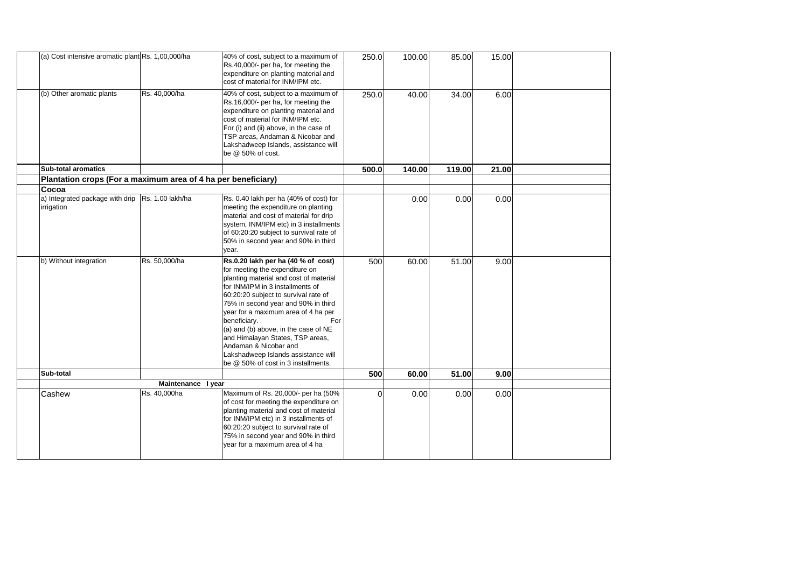| (a) Cost intensive aromatic plant Rs. 1,00,000/ha              |                    | 40% of cost, subject to a maximum of<br>Rs.40,000/- per ha, for meeting the<br>expenditure on planting material and<br>cost of material for INM/IPM etc.                                                                                                                                                                                                                                                                                                                           | 250.0    | 100.00 | 85.00  | 15.00 |  |
|----------------------------------------------------------------|--------------------|------------------------------------------------------------------------------------------------------------------------------------------------------------------------------------------------------------------------------------------------------------------------------------------------------------------------------------------------------------------------------------------------------------------------------------------------------------------------------------|----------|--------|--------|-------|--|
| (b) Other aromatic plants                                      | Rs. 40,000/ha      | 40% of cost, subject to a maximum of<br>Rs.16,000/- per ha, for meeting the<br>expenditure on planting material and<br>cost of material for INM/IPM etc.<br>For (i) and (ii) above, in the case of<br>TSP areas, Andaman & Nicobar and<br>Lakshadweep Islands, assistance will<br>be @ 50% of cost.                                                                                                                                                                                | 250.0    | 40.00  | 34.00  | 6.00  |  |
| <b>Sub-total aromatics</b>                                     |                    |                                                                                                                                                                                                                                                                                                                                                                                                                                                                                    | 500.0    | 140.00 | 119.00 | 21.00 |  |
| Plantation crops (For a maximum area of 4 ha per beneficiary)  |                    |                                                                                                                                                                                                                                                                                                                                                                                                                                                                                    |          |        |        |       |  |
| Cocoa                                                          |                    |                                                                                                                                                                                                                                                                                                                                                                                                                                                                                    |          |        |        |       |  |
| a) Integrated package with drip Rs. 1.00 lakh/ha<br>irrigation |                    | Rs. 0.40 lakh per ha (40% of cost) for<br>meeting the expenditure on planting<br>material and cost of material for drip<br>system, INM/IPM etc) in 3 installments<br>of 60:20:20 subject to survival rate of<br>50% in second year and 90% in third<br>year.                                                                                                                                                                                                                       |          | 0.00   | 0.00   | 0.00  |  |
| b) Without integration                                         | Rs. 50,000/ha      | Rs.0.20 lakh per ha (40 % of cost)<br>for meeting the expenditure on<br>planting material and cost of material<br>for INM/IPM in 3 installments of<br>60:20:20 subject to survival rate of<br>75% in second year and 90% in third<br>year for a maximum area of 4 ha per<br>beneficiary.<br>For<br>(a) and (b) above, in the case of NE<br>and Himalayan States, TSP areas,<br>Andaman & Nicobar and<br>Lakshadweep Islands assistance will<br>be @ 50% of cost in 3 installments. | 500      | 60.00  | 51.00  | 9.00  |  |
| Sub-total                                                      |                    |                                                                                                                                                                                                                                                                                                                                                                                                                                                                                    | 500      | 60.00  | 51.00  | 9.00  |  |
|                                                                | Maintenance I year |                                                                                                                                                                                                                                                                                                                                                                                                                                                                                    |          |        |        |       |  |
| Cashew                                                         | Rs. 40,000ha       | Maximum of Rs. 20,000/- per ha (50%<br>of cost for meeting the expenditure on<br>planting material and cost of material<br>for INM/IPM etc) in 3 installments of<br>60:20:20 subject to survival rate of<br>75% in second year and 90% in third<br>vear for a maximum area of 4 ha                                                                                                                                                                                                 | $\Omega$ | 0.00   | 0.00   | 0.00  |  |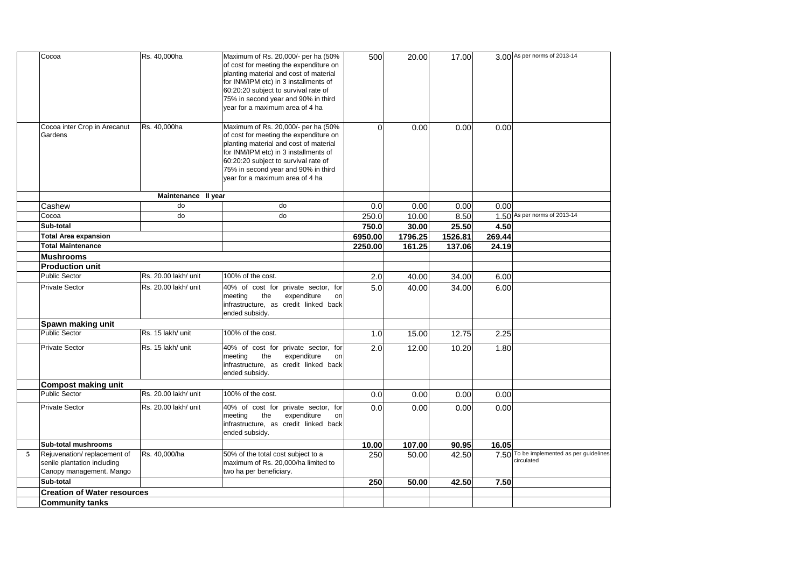|   | Cocoa                              | Rs. 40,000ha         | Maximum of Rs. 20,000/- per ha (50%    | 500              | 20.00   | 17.00   |        | 3.00 As per norms of 2013-14             |
|---|------------------------------------|----------------------|----------------------------------------|------------------|---------|---------|--------|------------------------------------------|
|   |                                    |                      | of cost for meeting the expenditure on |                  |         |         |        |                                          |
|   |                                    |                      | planting material and cost of material |                  |         |         |        |                                          |
|   |                                    |                      | for INM/IPM etc) in 3 installments of  |                  |         |         |        |                                          |
|   |                                    |                      | 60:20:20 subject to survival rate of   |                  |         |         |        |                                          |
|   |                                    |                      | 75% in second year and 90% in third    |                  |         |         |        |                                          |
|   |                                    |                      | year for a maximum area of 4 ha        |                  |         |         |        |                                          |
|   |                                    |                      |                                        |                  |         |         |        |                                          |
|   | Cocoa inter Crop in Arecanut       | Rs. 40,000ha         | Maximum of Rs. 20,000/- per ha (50%    | $\Omega$         | 0.00    | 0.00    | 0.00   |                                          |
|   | Gardens                            |                      | of cost for meeting the expenditure on |                  |         |         |        |                                          |
|   |                                    |                      | planting material and cost of material |                  |         |         |        |                                          |
|   |                                    |                      | for INM/IPM etc) in 3 installments of  |                  |         |         |        |                                          |
|   |                                    |                      | 60:20:20 subject to survival rate of   |                  |         |         |        |                                          |
|   |                                    |                      | 75% in second year and 90% in third    |                  |         |         |        |                                          |
|   |                                    |                      | year for a maximum area of 4 ha        |                  |         |         |        |                                          |
|   |                                    |                      |                                        |                  |         |         |        |                                          |
|   |                                    | Maintenance II year  |                                        |                  |         |         |        |                                          |
|   | Cashew                             | do                   | do                                     | 0.0              | 0.00    | 0.00    | 0.00   |                                          |
|   | Cocoa                              | do                   | do                                     | 250.0            | 10.00   | 8.50    |        | 1.50 As per norms of 2013-14             |
|   | Sub-total                          |                      |                                        | 750.0            | 30.00   | 25.50   | 4.50   |                                          |
|   | <b>Total Area expansion</b>        |                      |                                        | 6950.00          | 1796.25 | 1526.81 | 269.44 |                                          |
|   | <b>Total Maintenance</b>           |                      |                                        | 2250.00          | 161.25  | 137.06  | 24.19  |                                          |
|   | <b>Mushrooms</b>                   |                      |                                        |                  |         |         |        |                                          |
|   | <b>Production unit</b>             |                      |                                        |                  |         |         |        |                                          |
|   | <b>Public Sector</b>               | Rs. 20.00 lakh/ unit | 100% of the cost.                      | 2.0              | 40.00   | 34.00   | 6.00   |                                          |
|   | <b>Private Sector</b>              | Rs. 20.00 lakh/ unit | 40% of cost for private sector, for    | 5.0              | 40.00   | 34.00   | 6.00   |                                          |
|   |                                    |                      | the<br>expenditure<br>meeting<br>on    |                  |         |         |        |                                          |
|   |                                    |                      | infrastructure, as credit linked back  |                  |         |         |        |                                          |
|   |                                    |                      | ended subsidy.                         |                  |         |         |        |                                          |
|   | Spawn making unit                  |                      |                                        |                  |         |         |        |                                          |
|   | <b>Public Sector</b>               | Rs. 15 lakh/ unit    | 100% of the cost.                      | 1.0              | 15.00   | 12.75   | 2.25   |                                          |
|   | <b>Private Sector</b>              | Rs. 15 lakh/ unit    | 40% of cost for private sector, for    | $\overline{2.0}$ | 12.00   | 10.20   | 1.80   |                                          |
|   |                                    |                      | the<br>expenditure<br>meeting<br>on    |                  |         |         |        |                                          |
|   |                                    |                      | infrastructure, as credit linked back  |                  |         |         |        |                                          |
|   |                                    |                      | ended subsidy.                         |                  |         |         |        |                                          |
|   | <b>Compost making unit</b>         |                      |                                        |                  |         |         |        |                                          |
|   | Public Sector                      | Rs. 20.00 lakh/ unit | 100% of the cost.                      | 0.0              | 0.00    | 0.00    | 0.00   |                                          |
|   | <b>Private Sector</b>              | Rs. 20.00 lakh/ unit | 40% of cost for private sector, for    | 0.0              | 0.00    | 0.00    | 0.00   |                                          |
|   |                                    |                      | the<br>expenditure<br>meeting<br>on    |                  |         |         |        |                                          |
|   |                                    |                      | infrastructure, as credit linked back  |                  |         |         |        |                                          |
|   |                                    |                      | ended subsidy.                         |                  |         |         |        |                                          |
|   | Sub-total mushrooms                |                      |                                        | 10.00            | 107.00  | 90.95   | 16.05  |                                          |
| 5 | Rejuvenation/replacement of        | Rs. 40,000/ha        | 50% of the total cost subject to a     | 250              | 50.00   | 42.50   |        | 7.50 To be implemented as per guidelines |
|   | senile plantation including        |                      | maximum of Rs. 20,000/ha limited to    |                  |         |         |        | circulated                               |
|   | Canopy management. Mango           |                      | two ha per beneficiary.                |                  |         |         |        |                                          |
|   | Sub-total                          |                      |                                        | 250              | 50.00   | 42.50   | 7.50   |                                          |
|   | <b>Creation of Water resources</b> |                      |                                        |                  |         |         |        |                                          |
|   | <b>Community tanks</b>             |                      |                                        |                  |         |         |        |                                          |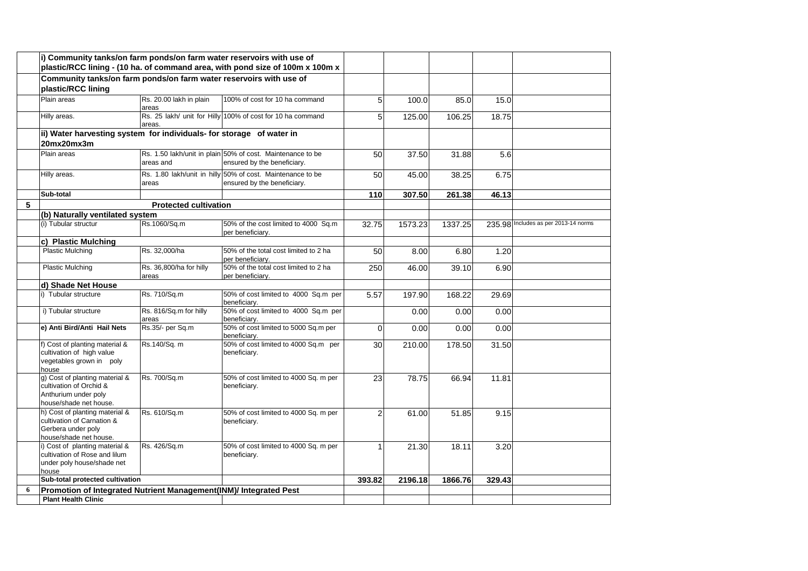|   | i) Community tanks/on farm ponds/on farm water reservoirs with use of                                        |                                  | plastic/RCC lining - (10 ha. of command area, with pond size of 100m x 100m x             |                 |         |         |        |                                      |
|---|--------------------------------------------------------------------------------------------------------------|----------------------------------|-------------------------------------------------------------------------------------------|-----------------|---------|---------|--------|--------------------------------------|
|   | Community tanks/on farm ponds/on farm water reservoirs with use of<br>plastic/RCC lining                     |                                  |                                                                                           |                 |         |         |        |                                      |
|   | Plain areas                                                                                                  | Rs. 20.00 lakh in plain<br>areas | 100% of cost for 10 ha command                                                            | 5               | 100.0   | 85.0    | 15.0   |                                      |
|   | Hilly areas.                                                                                                 | areas.                           | Rs. 25 lakh/ unit for Hilly 100% of cost for 10 ha command                                | $5\overline{)}$ | 125.00  | 106.25  | 18.75  |                                      |
|   | ii) Water harvesting system for individuals- for storage of water in<br>20mx20mx3m                           |                                  |                                                                                           |                 |         |         |        |                                      |
|   | Plain areas                                                                                                  | areas and                        | Rs. 1.50 lakh/unit in plain 50% of cost. Maintenance to be<br>ensured by the beneficiary. | 50              | 37.50   | 31.88   | 5.6    |                                      |
|   | Hilly areas.                                                                                                 | areas                            | Rs. 1.80 lakh/unit in hilly 50% of cost. Maintenance to be<br>ensured by the beneficiary. | 50              | 45.00   | 38.25   | 6.75   |                                      |
|   | Sub-total                                                                                                    |                                  |                                                                                           | 110             | 307.50  | 261.38  | 46.13  |                                      |
| 5 |                                                                                                              | <b>Protected cultivation</b>     |                                                                                           |                 |         |         |        |                                      |
|   | (b) Naturally ventilated system                                                                              |                                  |                                                                                           |                 |         |         |        |                                      |
|   | (i) Tubular structur                                                                                         | Rs.1060/Sq.m                     | 50% of the cost limited to 4000 Sq.m<br>per beneficiary.                                  | 32.75           | 1573.23 | 1337.25 |        | 235.98 Includes as per 2013-14 norms |
|   | c) Plastic Mulching                                                                                          |                                  |                                                                                           |                 |         |         |        |                                      |
|   | <b>Plastic Mulching</b>                                                                                      | Rs. 32,000/ha                    | 50% of the total cost limited to 2 ha<br>per beneficiarv.                                 | 50              | 8.00    | 6.80    | 1.20   |                                      |
|   | <b>Plastic Mulching</b>                                                                                      | Rs. 36,800/ha for hilly<br>areas | 50% of the total cost limited to 2 ha<br>per beneficiary.                                 | 250             | 46.00   | 39.10   | 6.90   |                                      |
|   | d) Shade Net House                                                                                           |                                  |                                                                                           |                 |         |         |        |                                      |
|   | i) Tubular structure                                                                                         | Rs. 710/Sq.m                     | 50% of cost limited to 4000 Sq.m per<br>beneficiary.                                      | 5.57            | 197.90  | 168.22  | 29.69  |                                      |
|   | i) Tubular structure                                                                                         | Rs. 816/Sq.m for hilly<br>areas  | 50% of cost limited to 4000 Sq.m per<br>beneficiary.                                      |                 | 0.00    | 0.00    | 0.00   |                                      |
|   | e) Anti Bird/Anti Hail Nets                                                                                  | Rs.35/- per Sq.m                 | 50% of cost limited to 5000 Sq.m per<br>beneficiarv.                                      | $\Omega$        | 0.00    | 0.00    | 0.00   |                                      |
|   | f) Cost of planting material &<br>cultivation of high value<br>vegetables grown in poly<br>house             | Rs.140/Sq. m                     | 50% of cost limited to 4000 Sq.m per<br>beneficiary.                                      | 30              | 210.00  | 178.50  | 31.50  |                                      |
|   | g) Cost of planting material &<br>cultivation of Orchid &<br>Anthurium under poly<br>house/shade net house.  | Rs. 700/Sq.m                     | 50% of cost limited to 4000 Sq. m per<br>beneficiary.                                     | 23              | 78.75   | 66.94   | 11.81  |                                      |
|   | h) Cost of planting material &<br>cultivation of Carnation &<br>Gerbera under poly<br>house/shade net house. | Rs. 610/Sq.m                     | 50% of cost limited to 4000 Sq. m per<br>beneficiary.                                     | $\overline{2}$  | 61.00   | 51.85   | 9.15   |                                      |
|   | i) Cost of planting material &<br>cultivation of Rose and lilum<br>under poly house/shade net<br>house       | Rs. 426/Sq.m                     | 50% of cost limited to 4000 Sq. m per<br>beneficiary.                                     |                 | 21.30   | 18.11   | 3.20   |                                      |
|   | Sub-total protected cultivation                                                                              |                                  |                                                                                           | 393.82          | 2196.18 | 1866.76 | 329.43 |                                      |
| 6 | Promotion of Integrated Nutrient Management(INM)/ Integrated Pest                                            |                                  |                                                                                           |                 |         |         |        |                                      |
|   | <b>Plant Health Clinic</b>                                                                                   |                                  |                                                                                           |                 |         |         |        |                                      |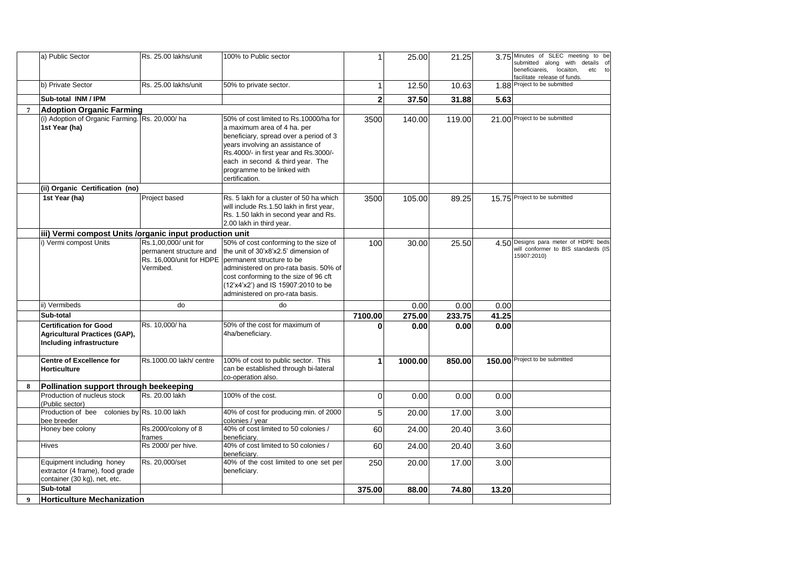|                | a) Public Sector                                                                                  | Rs. 25.00 lakhs/unit                                          | 100% to Public sector                                                                                                                                                                                                                                                                              | 1              | 25.00   | 21.25  |       | 3.75 Minutes of SLEC meeting to be<br>submitted along with details of<br>beneficiareis,<br>locaiton,<br>etc to<br>facilitate release of funds. |
|----------------|---------------------------------------------------------------------------------------------------|---------------------------------------------------------------|----------------------------------------------------------------------------------------------------------------------------------------------------------------------------------------------------------------------------------------------------------------------------------------------------|----------------|---------|--------|-------|------------------------------------------------------------------------------------------------------------------------------------------------|
|                | b) Private Sector                                                                                 | Rs. 25.00 lakhs/unit                                          | 50% to private sector.                                                                                                                                                                                                                                                                             | 1              | 12.50   | 10.63  |       | 1.88 Project to be submitted                                                                                                                   |
|                | Sub-total INM / IPM                                                                               |                                                               |                                                                                                                                                                                                                                                                                                    | $\overline{2}$ | 37.50   | 31.88  | 5.63  |                                                                                                                                                |
| $\overline{7}$ | <b>Adoption Organic Farming</b>                                                                   |                                                               |                                                                                                                                                                                                                                                                                                    |                |         |        |       |                                                                                                                                                |
|                | (i) Adoption of Organic Farming. Rs. 20,000/ha<br>1st Year (ha)                                   |                                                               | 50% of cost limited to Rs.10000/ha for<br>a maximum area of 4 ha. per<br>beneficiary, spread over a period of 3<br>years involving an assistance of<br>Rs.4000/- in first year and Rs.3000/-<br>each in second & third year. The<br>programme to be linked with<br>certification.                  | 3500           | 140.00  | 119.00 |       | 21.00 Project to be submitted                                                                                                                  |
|                | (ii) Organic Certification (no)                                                                   |                                                               |                                                                                                                                                                                                                                                                                                    |                |         |        |       |                                                                                                                                                |
|                | 1st Year (ha)                                                                                     | Project based                                                 | Rs. 5 lakh for a cluster of 50 ha which<br>will include Rs.1.50 lakh in first year,<br>Rs. 1.50 lakh in second year and Rs.<br>2.00 lakh in third year.                                                                                                                                            | 3500           | 105.00  | 89.25  |       | 15.75 Project to be submitted                                                                                                                  |
|                | iii) Vermi compost Units /organic input production unit                                           |                                                               |                                                                                                                                                                                                                                                                                                    |                |         |        |       |                                                                                                                                                |
|                | i) Vermi compost Units                                                                            | Rs.1,00,000/ unit for<br>permanent structure and<br>Vermibed. | 50% of cost conforming to the size of<br>the unit of 30'x8'x2.5' dimension of<br>Rs. 16,000/unit for HDPE   permanent structure to be<br>administered on pro-rata basis. 50% of<br>cost conforming to the size of 96 cft<br>(12'x4'x2') and IS 15907:2010 to be<br>administered on pro-rata basis. | 100            | 30.00   | 25.50  |       | 4.50 Designs para meter of HDPE beds<br>will conformer to BIS standards (IS<br>15907:2010)                                                     |
|                | ii) Vermibeds                                                                                     | do                                                            | do                                                                                                                                                                                                                                                                                                 |                | 0.00    | 0.00   | 0.00  |                                                                                                                                                |
|                | Sub-total                                                                                         |                                                               |                                                                                                                                                                                                                                                                                                    | 7100.00        | 275.00  | 233.75 | 41.25 |                                                                                                                                                |
|                | <b>Certification for Good</b><br><b>Agricultural Practices (GAP),</b><br>Including infrastructure | Rs. 10,000/ha                                                 | 50% of the cost for maximum of<br>4ha/beneficiary.                                                                                                                                                                                                                                                 | 0              | 0.00    | 0.00   | 0.00  |                                                                                                                                                |
|                | <b>Centre of Excellence for</b><br><b>Horticulture</b>                                            | Rs.1000.00 lakh/ centre                                       | 100% of cost to public sector. This<br>can be established through bi-lateral<br>co-operation also.                                                                                                                                                                                                 | 1              | 1000.00 | 850.00 |       | 150.00 Project to be submitted                                                                                                                 |
| 8              | Pollination support through beekeeping                                                            |                                                               |                                                                                                                                                                                                                                                                                                    |                |         |        |       |                                                                                                                                                |
|                | Production of nucleus stock<br>(Public sector)                                                    | Rs. 20.00 lakh                                                | 100% of the cost.                                                                                                                                                                                                                                                                                  | 0              | 0.00    | 0.00   | 0.00  |                                                                                                                                                |
|                | Production of bee colonies by Rs. 10.00 lakh<br>bee breeder                                       |                                                               | 40% of cost for producing min. of 2000<br>colonies / year                                                                                                                                                                                                                                          | 5              | 20.00   | 17.00  | 3.00  |                                                                                                                                                |
|                | Honey bee colony                                                                                  | Rs.2000/colony of 8<br>frames                                 | 40% of cost limited to 50 colonies /<br>beneficiarv.                                                                                                                                                                                                                                               | 60             | 24.00   | 20.40  | 3.60  |                                                                                                                                                |
|                | Hives                                                                                             | Rs 2000/ per hive.                                            | 40% of cost limited to 50 colonies /<br>beneficiary.                                                                                                                                                                                                                                               | 60             | 24.00   | 20.40  | 3.60  |                                                                                                                                                |
|                | Equipment including honey<br>extractor (4 frame), food grade<br>container (30 kg), net, etc.      | Rs. 20,000/set                                                | 40% of the cost limited to one set per<br>beneficiary.                                                                                                                                                                                                                                             | 250            | 20.00   | 17.00  | 3.00  |                                                                                                                                                |
|                | Sub-total                                                                                         |                                                               |                                                                                                                                                                                                                                                                                                    | 375.00         | 88.00   | 74.80  | 13.20 |                                                                                                                                                |
| $\mathbf Q$    | Horticulture Mechanization                                                                        |                                                               |                                                                                                                                                                                                                                                                                                    |                |         |        |       |                                                                                                                                                |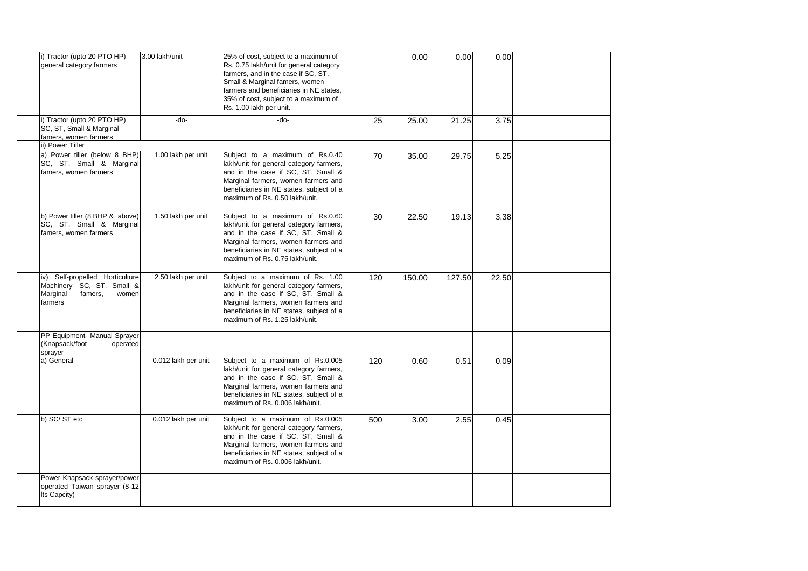| i) Tractor (upto 20 PTO HP)<br>general category farmers                                                 | 3.00 lakh/unit      | 25% of cost, subject to a maximum of<br>Rs. 0.75 lakh/unit for general category<br>farmers, and in the case if SC, ST,<br>Small & Marginal famers, women<br>farmers and beneficiaries in NE states.<br>35% of cost, subject to a maximum of<br>Rs. 1.00 lakh per unit. |     | 0.00   | 0.00   | 0.00  |  |
|---------------------------------------------------------------------------------------------------------|---------------------|------------------------------------------------------------------------------------------------------------------------------------------------------------------------------------------------------------------------------------------------------------------------|-----|--------|--------|-------|--|
| i) Tractor (upto 20 PTO HP)<br>SC, ST, Small & Marginal<br>famers, women farmers<br>ii) Power Tiller    | $-do-$              | $-do-$                                                                                                                                                                                                                                                                 | 25  | 25.00  | 21.25  | 3.75  |  |
| a) Power tiller (below 8 BHP)<br>SC, ST, Small & Marginal<br>famers, women farmers                      | 1.00 lakh per unit  | Subject to a maximum of Rs.0.40<br>lakh/unit for general category farmers,<br>and in the case if SC, ST, Small &<br>Marginal farmers, women farmers and<br>beneficiaries in NE states, subject of a<br>maximum of Rs. 0.50 lakh/unit.                                  | 70  | 35.00  | 29.75  | 5.25  |  |
| b) Power tiller (8 BHP & above)<br>SC, ST, Small & Marginal<br>famers, women farmers                    | 1.50 lakh per unit  | Subject to a maximum of Rs.0.60<br>lakh/unit for general category farmers,<br>and in the case if SC, ST, Small &<br>Marginal farmers, women farmers and<br>beneficiaries in NE states, subject of a<br>maximum of Rs. 0.75 lakh/unit.                                  | 30  | 22.50  | 19.13  | 3.38  |  |
| iv) Self-propelled Horticulture<br>Machinery SC, ST, Small &<br>Marginal<br>famers,<br>women<br>farmers | 2.50 lakh per unit  | Subject to a maximum of Rs. 1.00<br>lakh/unit for general category farmers,<br>and in the case if SC, ST, Small &<br>Marginal farmers, women farmers and<br>beneficiaries in NE states, subject of a<br>maximum of Rs. 1.25 lakh/unit.                                 | 120 | 150.00 | 127.50 | 22.50 |  |
| PP Equipment- Manual Sprayer<br>(Knapsack/foot<br>operated<br>sprayer                                   |                     |                                                                                                                                                                                                                                                                        |     |        |        |       |  |
| a) General                                                                                              | 0.012 lakh per unit | Subject to a maximum of Rs.0.005<br>lakh/unit for general category farmers,<br>and in the case if SC, ST, Small &<br>Marginal farmers, women farmers and<br>beneficiaries in NE states, subject of a<br>maximum of Rs. 0.006 lakh/unit.                                | 120 | 0.60   | 0.51   | 0.09  |  |
| b) SC/ST etc                                                                                            | 0.012 lakh per unit | Subject to a maximum of Rs.0.005<br>lakh/unit for general category farmers,<br>and in the case if SC, ST, Small &<br>Marginal farmers, women farmers and<br>beneficiaries in NE states, subject of a<br>maximum of Rs. 0.006 lakh/unit.                                | 500 | 3.00   | 2.55   | 0.45  |  |
| Power Knapsack sprayer/power<br>operated Taiwan sprayer (8-12<br>Its Capcity)                           |                     |                                                                                                                                                                                                                                                                        |     |        |        |       |  |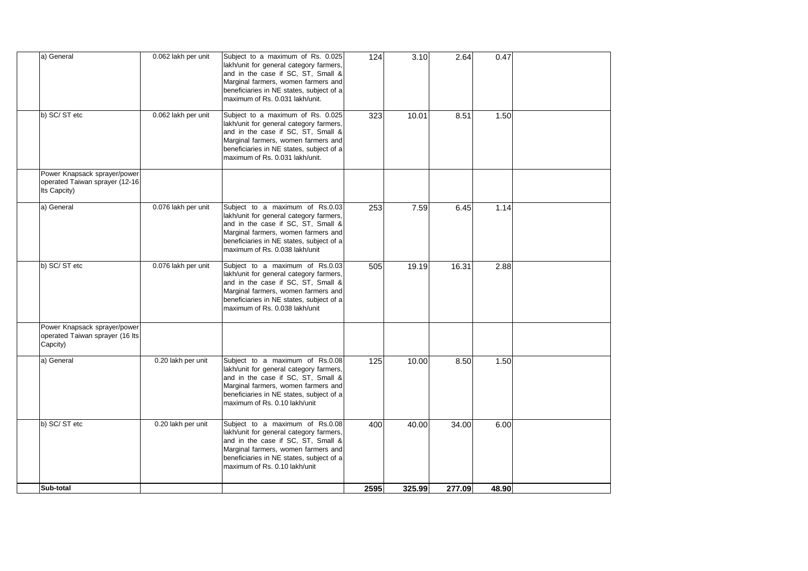| a) General                                                                     | 0.062 lakh per unit | Subject to a maximum of Rs. 0.025<br>lakh/unit for general category farmers,<br>and in the case if SC, ST, Small &<br>Marginal farmers, women farmers and<br>beneficiaries in NE states, subject of a<br>maximum of Rs. 0.031 lakh/unit. | 124  | 3.10   | 2.64   | 0.47  |  |
|--------------------------------------------------------------------------------|---------------------|------------------------------------------------------------------------------------------------------------------------------------------------------------------------------------------------------------------------------------------|------|--------|--------|-------|--|
| b) SC/ST etc                                                                   | 0.062 lakh per unit | Subject to a maximum of Rs. 0.025<br>lakh/unit for general category farmers,<br>and in the case if SC, ST, Small &<br>Marginal farmers, women farmers and<br>beneficiaries in NE states, subject of a<br>maximum of Rs. 0.031 lakh/unit. | 323  | 10.01  | 8.51   | 1.50  |  |
| Power Knapsack sprayer/power<br>operated Taiwan sprayer (12-16<br>Its Capcity) |                     |                                                                                                                                                                                                                                          |      |        |        |       |  |
| a) General                                                                     | 0.076 lakh per unit | Subject to a maximum of Rs.0.03<br>lakh/unit for general category farmers,<br>and in the case if SC, ST, Small &<br>Marginal farmers, women farmers and<br>beneficiaries in NE states, subject of a<br>maximum of Rs. 0.038 lakh/unit    | 253  | 7.59   | 6.45   | 1.14  |  |
| b) SC/ST etc                                                                   | 0.076 lakh per unit | Subject to a maximum of Rs.0.03<br>lakh/unit for general category farmers,<br>and in the case if SC, ST, Small &<br>Marginal farmers, women farmers and<br>beneficiaries in NE states, subject of a<br>maximum of Rs. 0.038 lakh/unit    | 505  | 19.19  | 16.31  | 2.88  |  |
| Power Knapsack sprayer/power<br>operated Taiwan sprayer (16 lts<br>Capcity)    |                     |                                                                                                                                                                                                                                          |      |        |        |       |  |
| a) General                                                                     | 0.20 lakh per unit  | Subject to a maximum of Rs.0.08<br>lakh/unit for general category farmers,<br>and in the case if SC, ST, Small &<br>Marginal farmers, women farmers and<br>beneficiaries in NE states, subject of a<br>maximum of Rs. 0.10 lakh/unit     | 125  | 10.00  | 8.50   | 1.50  |  |
| b) SC/ST etc                                                                   | 0.20 lakh per unit  | Subject to a maximum of Rs.0.08<br>lakh/unit for general category farmers,<br>and in the case if SC, ST, Small &<br>Marginal farmers, women farmers and<br>beneficiaries in NE states, subject of a<br>maximum of Rs. 0.10 lakh/unit     | 400  | 40.00  | 34.00  | 6.00  |  |
| Sub-total                                                                      |                     |                                                                                                                                                                                                                                          | 2595 | 325.99 | 277.09 | 48.90 |  |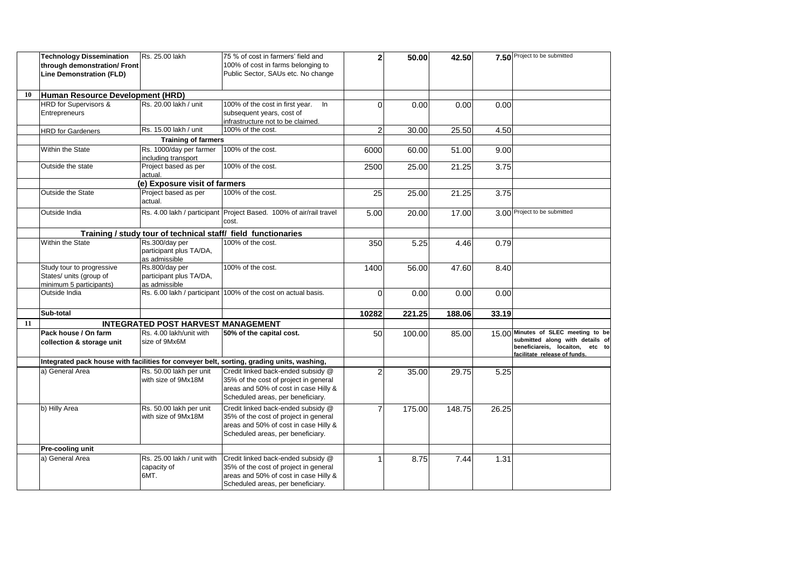|    | <b>Technology Dissemination</b><br>through demonstration/ Front<br><b>Line Demonstration (FLD)</b> | Rs. 25.00 lakh                                             | 75 % of cost in farmers' field and<br>100% of cost in farms belonging to<br>Public Sector, SAUs etc. No change                                            | $\mathbf{2}$   | 50.00  | 42.50  |       | 7.50 Project to be submitted                                                                                                              |
|----|----------------------------------------------------------------------------------------------------|------------------------------------------------------------|-----------------------------------------------------------------------------------------------------------------------------------------------------------|----------------|--------|--------|-------|-------------------------------------------------------------------------------------------------------------------------------------------|
| 10 | Human Resource Development (HRD)                                                                   |                                                            |                                                                                                                                                           |                |        |        |       |                                                                                                                                           |
|    | <b>HRD</b> for Supervisors &                                                                       | Rs. 20.00 lakh / unit                                      | 100% of the cost in first year.<br>$\ln$                                                                                                                  | $\Omega$       | 0.00   | 0.00   | 0.00  |                                                                                                                                           |
|    | Entrepreneurs                                                                                      |                                                            | subsequent years, cost of<br>infrastructure not to be claimed.                                                                                            |                |        |        |       |                                                                                                                                           |
|    | <b>HRD</b> for Gardeners                                                                           | Rs. 15.00 lakh / unit                                      | 100% of the cost.                                                                                                                                         | $\overline{2}$ | 30.00  | 25.50  | 4.50  |                                                                                                                                           |
|    |                                                                                                    | <b>Training of farmers</b>                                 |                                                                                                                                                           |                |        |        |       |                                                                                                                                           |
|    | Within the State                                                                                   | Rs. 1000/day per farmer<br>including transport             | 100% of the cost.                                                                                                                                         | 6000           | 60.00  | 51.00  | 9.00  |                                                                                                                                           |
|    | Outside the state                                                                                  | Project based as per<br>actual.                            | 100% of the cost.                                                                                                                                         | 2500           | 25.00  | 21.25  | 3.75  |                                                                                                                                           |
|    |                                                                                                    | (e) Exposure visit of farmers                              |                                                                                                                                                           |                |        |        |       |                                                                                                                                           |
|    | Outside the State                                                                                  | Project based as per<br>actual.                            | 100% of the cost.                                                                                                                                         | 25             | 25.00  | 21.25  | 3.75  |                                                                                                                                           |
|    | Outside India                                                                                      |                                                            | Rs. 4.00 lakh / participant Project Based. 100% of air/rail travel<br>cost.                                                                               | 5.00           | 20.00  | 17.00  |       | 3.00 Project to be submitted                                                                                                              |
|    |                                                                                                    |                                                            | Training / study tour of technical staff/ field functionaries                                                                                             |                |        |        |       |                                                                                                                                           |
|    | Within the State                                                                                   | Rs.300/day per<br>participant plus TA/DA,<br>as admissible | 100% of the cost.                                                                                                                                         | 350            | 5.25   | 4.46   | 0.79  |                                                                                                                                           |
|    | Study tour to progressive<br>States/ units (group of<br>minimum 5 participants)                    | Rs.800/day per<br>participant plus TA/DA,<br>as admissible | 100% of the cost.                                                                                                                                         | 1400           | 56.00  | 47.60  | 8.40  |                                                                                                                                           |
|    | Outside India                                                                                      |                                                            | Rs. 6.00 lakh / participant 100% of the cost on actual basis.                                                                                             | $\Omega$       | 0.00   | 0.00   | 0.00  |                                                                                                                                           |
|    | Sub-total                                                                                          |                                                            |                                                                                                                                                           | 10282          | 221.25 | 188.06 | 33.19 |                                                                                                                                           |
| 11 |                                                                                                    | <b>INTEGRATED POST HARVEST MANAGEMENT</b>                  |                                                                                                                                                           |                |        |        |       |                                                                                                                                           |
|    | Pack house / On farm<br>collection & storage unit                                                  | Rs. 4.00 lakh/unit with<br>size of 9Mx6M                   | 50% of the capital cost.                                                                                                                                  | 50             | 100.00 | 85.00  |       | 15.00 Minutes of SLEC meeting to be<br>submitted along with details of<br>beneficiareis, locaiton, etc to<br>facilitate release of funds. |
|    |                                                                                                    |                                                            | Integrated pack house with facilities for conveyer belt, sorting, grading units, washing,                                                                 |                |        |        |       |                                                                                                                                           |
|    | a) General Area                                                                                    | Rs. 50.00 lakh per unit<br>with size of 9Mx18M             | Credit linked back-ended subsidy @<br>35% of the cost of project in general<br>areas and 50% of cost in case Hilly &<br>Scheduled areas, per beneficiary. | $\mathfrak{p}$ | 35.00  | 29.75  | 5.25  |                                                                                                                                           |
|    | b) Hilly Area                                                                                      | Rs. 50.00 lakh per unit<br>with size of 9Mx18M             | Credit linked back-ended subsidy @<br>35% of the cost of project in general<br>areas and 50% of cost in case Hilly &<br>Scheduled areas, per beneficiary. | $\overline{7}$ | 175.00 | 148.75 | 26.25 |                                                                                                                                           |
|    | Pre-cooling unit                                                                                   |                                                            |                                                                                                                                                           |                |        |        |       |                                                                                                                                           |
|    | a) General Area                                                                                    | Rs. 25.00 lakh / unit with<br>capacity of<br>6MT.          | Credit linked back-ended subsidy @<br>35% of the cost of project in general<br>areas and 50% of cost in case Hilly &<br>Scheduled areas, per beneficiary. |                | 8.75   | 7.44   | 1.31  |                                                                                                                                           |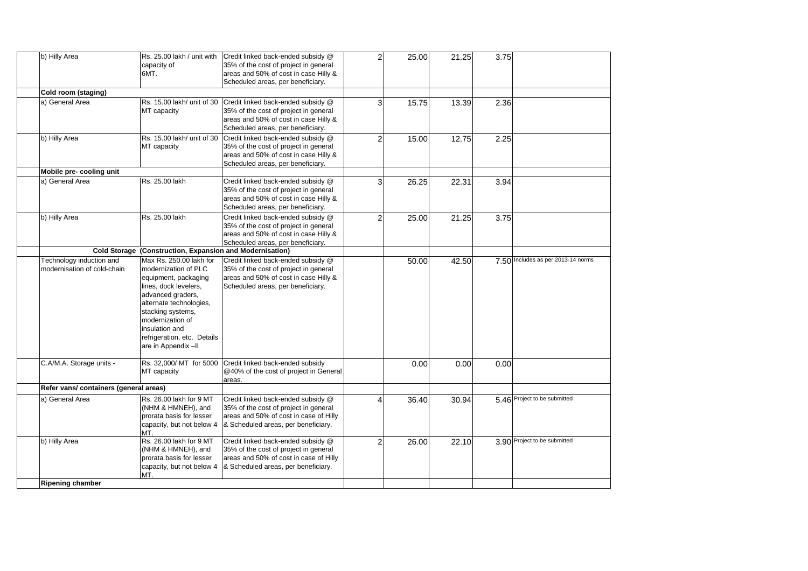| b) Hilly Area                                           | Rs. 25.00 lakh / unit with<br>capacity of<br>6MT.                                                                                                                                                                                                                 | Credit linked back-ended subsidy @<br>35% of the cost of project in general<br>areas and 50% of cost in case Hilly &                                         | $\overline{2}$ | 25.00 | 21.25 | 3.75 |                                    |
|---------------------------------------------------------|-------------------------------------------------------------------------------------------------------------------------------------------------------------------------------------------------------------------------------------------------------------------|--------------------------------------------------------------------------------------------------------------------------------------------------------------|----------------|-------|-------|------|------------------------------------|
|                                                         |                                                                                                                                                                                                                                                                   | Scheduled areas, per beneficiary.                                                                                                                            |                |       |       |      |                                    |
| Cold room (staging)<br>a) General Area                  | Rs. 15.00 lakh/ unit of 30<br>MT capacity                                                                                                                                                                                                                         | Credit linked back-ended subsidy @<br>35% of the cost of project in general<br>areas and 50% of cost in case Hilly &<br>Scheduled areas, per beneficiary.    | 3              | 15.75 | 13.39 | 2.36 |                                    |
| b) Hilly Area                                           | Rs. 15.00 lakh/ unit of 30<br>MT capacity                                                                                                                                                                                                                         | Credit linked back-ended subsidy @<br>35% of the cost of project in general<br>areas and 50% of cost in case Hilly &<br>Scheduled areas, per beneficiary.    | $\overline{2}$ | 15.00 | 12.75 | 2.25 |                                    |
| Mobile pre- cooling unit                                |                                                                                                                                                                                                                                                                   |                                                                                                                                                              |                |       |       |      |                                    |
| a) General Area                                         | Rs. 25.00 lakh                                                                                                                                                                                                                                                    | Credit linked back-ended subsidy @<br>35% of the cost of project in general<br>areas and 50% of cost in case Hilly &<br>Scheduled areas, per beneficiary.    | 3              | 26.25 | 22.31 | 3.94 |                                    |
| b) Hilly Area                                           | Rs. 25.00 lakh                                                                                                                                                                                                                                                    | Credit linked back-ended subsidy @<br>35% of the cost of project in general<br>areas and 50% of cost in case Hilly &<br>Scheduled areas, per beneficiary.    | 2              | 25.00 | 21.25 | 3.75 |                                    |
| <b>Cold Storage</b>                                     | (Construction, Expansion and Modernisation)                                                                                                                                                                                                                       |                                                                                                                                                              |                |       |       |      |                                    |
| Technology induction and<br>modernisation of cold-chain | Max Rs. 250.00 lakh for<br>modernization of PLC<br>equipment, packaging<br>lines, dock levelers,<br>advanced graders,<br>alternate technologies,<br>stacking systems,<br>modernization of<br>insulation and<br>refrigeration, etc. Details<br>are in Appendix -II | Credit linked back-ended subsidy @<br>35% of the cost of project in general<br>areas and 50% of cost in case Hilly &<br>Scheduled areas, per beneficiary.    |                | 50.00 | 42.50 |      | 7.50 Includes as per 2013-14 norms |
| C.A/M.A. Storage units -                                | MT capacity                                                                                                                                                                                                                                                       | Rs. 32,000/ MT for 5000 Credit linked back-ended subsidy<br>@40% of the cost of project in General<br>areas.                                                 |                | 0.00  | 0.00  | 0.00 |                                    |
| Refer vans/ containers (general areas)                  |                                                                                                                                                                                                                                                                   |                                                                                                                                                              |                |       |       |      |                                    |
| a) General Area                                         | Rs. 26.00 lakh for 9 MT<br>(NHM & HMNEH), and<br>prorata basis for lesser<br>capacity, but not below 4<br>MT.                                                                                                                                                     | Credit linked back-ended subsidy @<br>35% of the cost of project in general<br>areas and 50% of cost in case of Hilly<br>& Scheduled areas, per beneficiary. | Δ              | 36.40 | 30.94 |      | 5.46 Project to be submitted       |
| b) Hilly Area                                           | Rs. 26.00 lakh for 9 MT<br>(NHM & HMNEH), and<br>prorata basis for lesser<br>capacity, but not below 4<br>MT.                                                                                                                                                     | Credit linked back-ended subsidy @<br>35% of the cost of project in general<br>areas and 50% of cost in case of Hilly<br>& Scheduled areas, per beneficiary. | $\overline{2}$ | 26.00 | 22.10 |      | 3.90 Project to be submitted       |
| <b>Ripening chamber</b>                                 |                                                                                                                                                                                                                                                                   |                                                                                                                                                              |                |       |       |      |                                    |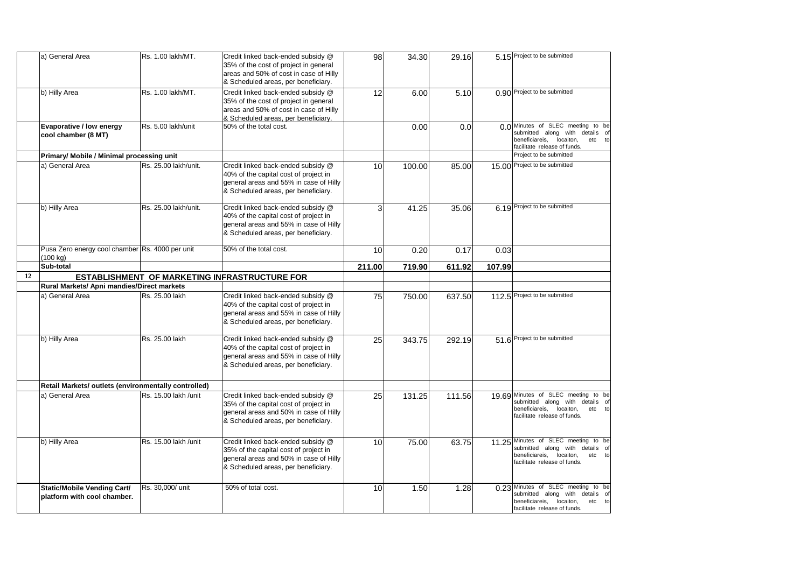|    | a) General Area                                             | Rs. 1.00 lakh/MT.    | Credit linked back-ended subsidy @<br>35% of the cost of project in general<br>areas and 50% of cost in case of Hilly<br>& Scheduled areas, per beneficiary. | 98              | 34.30  | 29.16  |        | 5.15 Project to be submitted                                                                                                                    |
|----|-------------------------------------------------------------|----------------------|--------------------------------------------------------------------------------------------------------------------------------------------------------------|-----------------|--------|--------|--------|-------------------------------------------------------------------------------------------------------------------------------------------------|
|    | b) Hilly Area                                               | Rs. 1.00 lakh/MT.    | Credit linked back-ended subsidy @<br>35% of the cost of project in general<br>areas and 50% of cost in case of Hilly<br>& Scheduled areas, per beneficiary. | 12              | 6.00   | 5.10   |        | 0.90 Project to be submitted                                                                                                                    |
|    | Evaporative / low energy<br>cool chamber (8 MT)             | Rs. 5.00 lakh/unit   | 50% of the total cost.                                                                                                                                       |                 | 0.00   | 0.0    |        | 0.0 Minutes of SLEC meeting to be<br>submitted along with details of<br>beneficiareis,<br>locaiton,<br>etc to<br>facilitate release of funds.   |
|    | Primary/ Mobile / Minimal processing unit                   |                      |                                                                                                                                                              |                 |        |        |        | Project to be submitted                                                                                                                         |
|    | a) General Area                                             | Rs. 25.00 lakh/unit. | Credit linked back-ended subsidy @<br>40% of the capital cost of project in<br>general areas and 55% in case of Hilly<br>& Scheduled areas, per beneficiary. | 10              | 100.00 | 85.00  |        | 15.00 Project to be submitted                                                                                                                   |
|    | b) Hilly Area                                               | Rs. 25.00 lakh/unit. | Credit linked back-ended subsidy @<br>40% of the capital cost of project in<br>general areas and 55% in case of Hilly<br>& Scheduled areas, per beneficiary. | 3               | 41.25  | 35.06  |        | 6.19 Project to be submitted                                                                                                                    |
|    | Pusa Zero energy cool chamber Rs. 4000 per unit<br>(100 kg) |                      | 50% of the total cost.                                                                                                                                       | 10              | 0.20   | 0.17   | 0.03   |                                                                                                                                                 |
|    | Sub-total                                                   |                      |                                                                                                                                                              | 211.00          | 719.90 | 611.92 | 107.99 |                                                                                                                                                 |
| 12 |                                                             |                      | ESTABLISHMENT OF MARKETING INFRASTRUCTURE FOR                                                                                                                |                 |        |        |        |                                                                                                                                                 |
|    | Rural Markets/ Apni mandies/Direct markets                  |                      |                                                                                                                                                              |                 |        |        |        |                                                                                                                                                 |
|    | a) General Area                                             | Rs. 25.00 lakh       | Credit linked back-ended subsidy @<br>40% of the capital cost of project in<br>general areas and 55% in case of Hilly<br>& Scheduled areas, per beneficiary. | 75              | 750.00 | 637.50 |        | 112.5 Project to be submitted                                                                                                                   |
|    | b) Hilly Area                                               | Rs. 25.00 lakh       | Credit linked back-ended subsidy @<br>40% of the capital cost of project in<br>general areas and 55% in case of Hilly<br>& Scheduled areas, per beneficiary. | 25              | 343.75 | 292.19 |        | 51.6 Project to be submitted                                                                                                                    |
|    | Retail Markets/ outlets (environmentally controlled)        |                      |                                                                                                                                                              |                 |        |        |        |                                                                                                                                                 |
|    | a) General Area                                             | Rs. 15.00 lakh /unit | Credit linked back-ended subsidy @<br>35% of the capital cost of project in<br>general areas and 50% in case of Hilly<br>& Scheduled areas, per beneficiary. | 25              | 131.25 | 111.56 |        | 19.69 Minutes of SLEC meeting to be<br>submitted along with details of<br>beneficiareis,<br>locaiton,<br>etc to<br>facilitate release of funds. |
|    | b) Hilly Area                                               | Rs. 15.00 lakh /unit | Credit linked back-ended subsidy @<br>35% of the capital cost of project in<br>general areas and 50% in case of Hilly<br>& Scheduled areas, per beneficiary. | 10              | 75.00  | 63.75  |        | 11.25 Minutes of SLEC meeting to be<br>submitted along with details of<br>beneficiareis, locaiton,<br>etc<br>to<br>facilitate release of funds. |
|    | Static/Mobile Vending Cart/<br>platform with cool chamber.  | Rs. 30,000/ unit     | 50% of total cost.                                                                                                                                           | 10 <sup>1</sup> | 1.50   | 1.28   |        | 0.23 Minutes of SLEC meeting to be<br>submitted along with details of<br>beneficiareis, locaiton,<br>etc to<br>facilitate release of funds.     |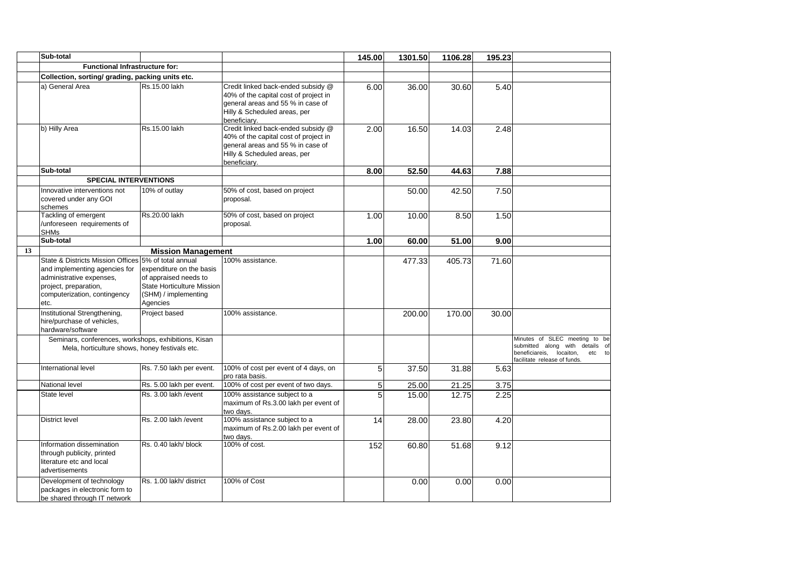|    | Sub-total                                                                                                                                                       |                                                                                                                                           |                                                                                                                                                                  | 145.00 | 1301.50 | 1106.28 | 195.23 |                                                                                                                                           |
|----|-----------------------------------------------------------------------------------------------------------------------------------------------------------------|-------------------------------------------------------------------------------------------------------------------------------------------|------------------------------------------------------------------------------------------------------------------------------------------------------------------|--------|---------|---------|--------|-------------------------------------------------------------------------------------------------------------------------------------------|
|    | Functional Infrastructure for:                                                                                                                                  |                                                                                                                                           |                                                                                                                                                                  |        |         |         |        |                                                                                                                                           |
|    | Collection, sorting/ grading, packing units etc.                                                                                                                |                                                                                                                                           |                                                                                                                                                                  |        |         |         |        |                                                                                                                                           |
|    | a) General Area                                                                                                                                                 | Rs.15.00 lakh                                                                                                                             | Credit linked back-ended subsidy @<br>40% of the capital cost of project in<br>general areas and 55 % in case of<br>Hilly & Scheduled areas, per<br>beneficiarv. | 6.00   | 36.00   | 30.60   | 5.40   |                                                                                                                                           |
|    | b) Hilly Area                                                                                                                                                   | Rs.15.00 lakh                                                                                                                             | Credit linked back-ended subsidy @<br>40% of the capital cost of project in<br>general areas and 55 % in case of<br>Hilly & Scheduled areas, per<br>beneficiarv. | 2.00   | 16.50   | 14.03   | 2.48   |                                                                                                                                           |
|    | Sub-total                                                                                                                                                       |                                                                                                                                           |                                                                                                                                                                  | 8.00   | 52.50   | 44.63   | 7.88   |                                                                                                                                           |
|    | <b>SPECIAL INTERVENTIONS</b>                                                                                                                                    |                                                                                                                                           |                                                                                                                                                                  |        |         |         |        |                                                                                                                                           |
|    | Innovative interventions not<br>covered under any GOI<br>schemes                                                                                                | 10% of outlay                                                                                                                             | 50% of cost, based on project<br>proposal.                                                                                                                       |        | 50.00   | 42.50   | 7.50   |                                                                                                                                           |
|    | Tackling of emergent<br>/unforeseen requirements of<br><b>SHMs</b>                                                                                              | Rs.20.00 lakh                                                                                                                             | 50% of cost, based on project<br>proposal.                                                                                                                       | 1.00   | 10.00   | 8.50    | 1.50   |                                                                                                                                           |
|    | Sub-total                                                                                                                                                       |                                                                                                                                           |                                                                                                                                                                  | 1.00   | 60.00   | 51.00   | 9.00   |                                                                                                                                           |
| 13 |                                                                                                                                                                 | <b>Mission Management</b>                                                                                                                 |                                                                                                                                                                  |        |         |         |        |                                                                                                                                           |
|    | State & Districts Mission Offices<br>and implementing agencies for<br>administrative expenses,<br>project, preparation,<br>computerization, contingency<br>etc. | 5% of total annual<br>expenditure on the basis<br>of appraised needs to<br>State Horticulture Mission<br>(SHM) / implementing<br>Agencies | 100% assistance.                                                                                                                                                 |        | 477.33  | 405.73  | 71.60  |                                                                                                                                           |
|    | Institutional Strengthening,<br>hire/purchase of vehicles,<br>hardware/software                                                                                 | Project based                                                                                                                             | 100% assistance.                                                                                                                                                 |        | 200.00  | 170.00  | 30.00  |                                                                                                                                           |
|    | Seminars, conferences, workshops, exhibitions, Kisan<br>Mela, horticulture shows, honey festivals etc.                                                          |                                                                                                                                           |                                                                                                                                                                  |        |         |         |        | Minutes of SLEC meeting to be<br>submitted along with details of<br>beneficiareis,<br>locaiton,<br>etc to<br>facilitate release of funds. |
|    | International level                                                                                                                                             | Rs. 7.50 lakh per event.                                                                                                                  | 100% of cost per event of 4 days, on<br>pro rata basis.                                                                                                          | 5      | 37.50   | 31.88   | 5.63   |                                                                                                                                           |
|    | National level                                                                                                                                                  | Rs. 5.00 lakh per event.                                                                                                                  | 100% of cost per event of two days.                                                                                                                              | 5      | 25.00   | 21.25   | 3.75   |                                                                                                                                           |
|    | State level                                                                                                                                                     | Rs. 3.00 lakh / event                                                                                                                     | 100% assistance subject to a<br>maximum of Rs.3.00 lakh per event of<br>two davs.                                                                                | 5      | 15.00   | 12.75   | 2.25   |                                                                                                                                           |
|    | <b>District level</b>                                                                                                                                           | Rs. 2.00 lakh / event                                                                                                                     | 100% assistance subject to a<br>maximum of Rs.2.00 lakh per event of<br>two days.                                                                                | 14     | 28.00   | 23.80   | 4.20   |                                                                                                                                           |
|    | Information dissemination<br>through publicity, printed<br>literature etc and local<br>advertisements                                                           | Rs. 0.40 lakh/ block                                                                                                                      | 100% of cost.                                                                                                                                                    | 152    | 60.80   | 51.68   | 9.12   |                                                                                                                                           |
|    | Development of technology<br>packages in electronic form to<br>be shared through IT network                                                                     | Rs. 1.00 lakh/ district                                                                                                                   | 100% of Cost                                                                                                                                                     |        | 0.00    | 0.00    | 0.00   |                                                                                                                                           |